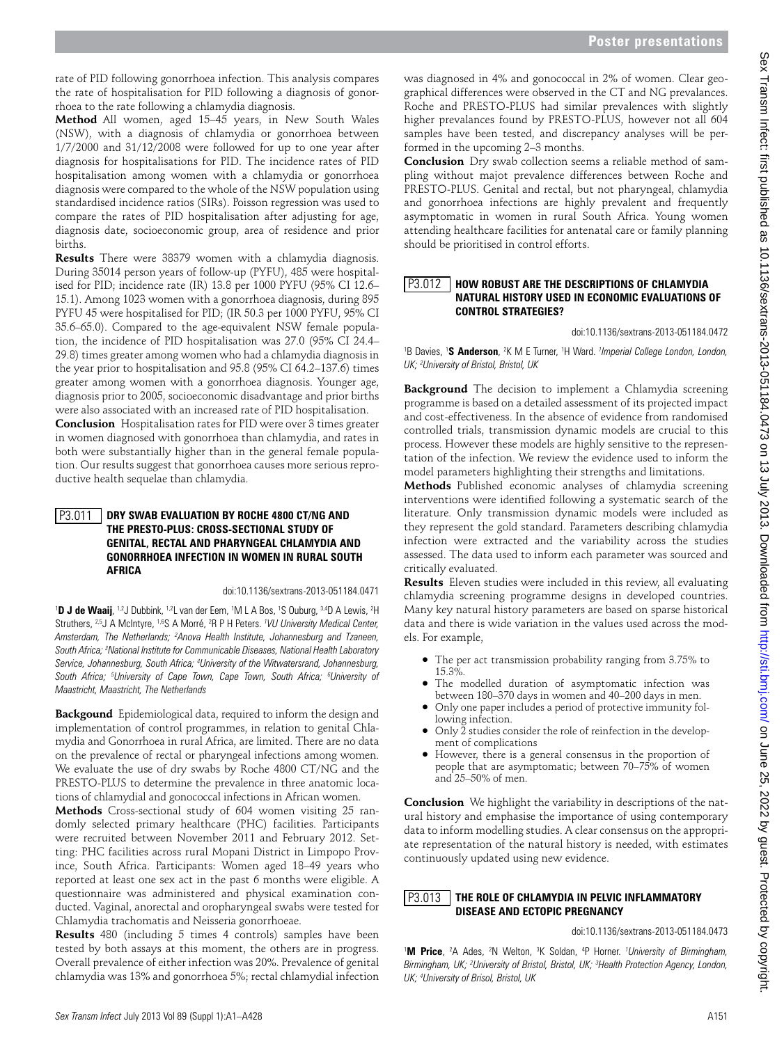rate of PID following gonorrhoea infection. This analysis compares the rate of hospitalisation for PID following a diagnosis of gonorrhoea to the rate following a chlamydia diagnosis.

**Method** All women, aged 15–45 years, in New South Wales (NSW), with a diagnosis of chlamydia or gonorrhoea between 1/7/2000 and 31/12/2008 were followed for up to one year after diagnosis for hospitalisations for PID. The incidence rates of PID hospitalisation among women with a chlamydia or gonorrhoea diagnosis were compared to the whole of the NSW population using standardised incidence ratios (SIRs). Poisson regression was used to compare the rates of PID hospitalisation after adjusting for age, diagnosis date, socioeconomic group, area of residence and prior births.

**Results** There were 38379 women with a chlamydia diagnosis. During 35014 person years of follow-up (PYFU), 485 were hospitalised for PID; incidence rate (IR) 13.8 per 1000 PYFU (95% CI 12.6– 15.1). Among 1023 women with a gonorrhoea diagnosis, during 895 PYFU 45 were hospitalised for PID; (IR 50.3 per 1000 PYFU, 95% CI 35.6–65.0). Compared to the age-equivalent NSW female population, the incidence of PID hospitalisation was 27.0 (95% CI 24.4– 29.8) times greater among women who had a chlamydia diagnosis in the year prior to hospitalisation and 95.8 (95% CI 64.2–137.6) times greater among women with a gonorrhoea diagnosis. Younger age, diagnosis prior to 2005, socioeconomic disadvantage and prior births were also associated with an increased rate of PID hospitalisation.

**Conclusion** Hospitalisation rates for PID were over 3 times greater in women diagnosed with gonorrhoea than chlamydia, and rates in both were substantially higher than in the general female population. Our results suggest that gonorrhoea causes more serious reproductive health sequelae than chlamydia.

### **Dry Swab Evaluation by Roche 4800 CT/NG and the Presto-Plus: Cross-Sectional Study of Genital, Rectal and Pharyngeal Chlamydia and Gonorrhoea Infection in Women in Rural South Africa** P3.011

doi:10.1136/sextrans-2013-051184.0471

<sup>1</sup>D J de Waaij, <sup>1,2</sup>J Dubbink, <sup>1,2</sup>L van der Eem, <sup>1</sup>M L A Bos, <sup>1</sup>S Ouburg, <sup>3,4</sup>D A Lewis, <sup>2</sup>H Struthers, <sup>2,5</sup>J A McIntyre, <sup>1,6</sup>S A Morré, <sup>2</sup>R P H Peters. <sup>*1VU University Medical Center,*</sup> Amsterdam, The Netherlands; <sup>2</sup>Anova Health Institute, Johannesburg and Tzaneen, *South Africa; 3 National Institute for Communicable Diseases, National Health Laboratory Service, Johannesburg, South Africa; 4 University of the Witwatersrand, Johannesburg, South Africa; 5 University of Cape Town, Cape Town, South Africa; 6 University of Maastricht, Maastricht, The Netherlands* 

**Backgound** Epidemiological data, required to inform the design and implementation of control programmes, in relation to genital Chlamydia and Gonorrhoea in rural Africa, are limited. There are no data on the prevalence of rectal or pharyngeal infections among women. We evaluate the use of dry swabs by Roche 4800 CT/NG and the PRESTO-PLUS to determine the prevalence in three anatomic locations of chlamydial and gonococcal infections in African women.

**Methods** Cross-sectional study of 604 women visiting 25 randomly selected primary healthcare (PHC) facilities. Participants were recruited between November 2011 and February 2012. Setting: PHC facilities across rural Mopani District in Limpopo Province, South Africa. Participants: Women aged 18–49 years who reported at least one sex act in the past 6 months were eligible. A questionnaire was administered and physical examination conducted. Vaginal, anorectal and oropharyngeal swabs were tested for Chlamydia trachomatis and Neisseria gonorrhoeae.

**Results** 480 (including 5 times 4 controls) samples have been tested by both assays at this moment, the others are in progress. Overall prevalence of either infection was 20%. Prevalence of genital chlamydia was 13% and gonorrhoea 5%; rectal chlamydial infection

was diagnosed in 4% and gonococcal in 2% of women. Clear geographical differences were observed in the CT and NG prevalances. Roche and PRESTO-PLUS had similar prevalences with slightly higher prevalances found by PRESTO-PLUS, however not all 604 samples have been tested, and discrepancy analyses will be performed in the upcoming 2–3 months.

**Conclusion** Dry swab collection seems a reliable method of sampling without majot prevalence differences between Roche and PRESTO-PLUS. Genital and rectal, but not pharyngeal, chlamydia and gonorrhoea infections are highly prevalent and frequently asymptomatic in women in rural South Africa. Young women attending healthcare facilities for antenatal care or family planning should be prioritised in control efforts.

### **How Robust Are the Descriptions of Chlamydia Natural History Used in Economic Evaluations of Control Strategies?** P3.012

doi:10.1136/sextrans-2013-051184.0472

<sup>1</sup>B Davies, <sup>1</sup>S Anderson, <sup>2</sup>K M E Turner, <sup>1</sup>H Ward. *<sup>1</sup> Imperial College London, London, UK; 2 University of Bristol, Bristol, UK* 

**Background** The decision to implement a Chlamydia screening programme is based on a detailed assessment of its projected impact and cost-effectiveness. In the absence of evidence from randomised controlled trials, transmission dynamic models are crucial to this process. However these models are highly sensitive to the representation of the infection. We review the evidence used to inform the model parameters highlighting their strengths and limitations.

**Methods** Published economic analyses of chlamydia screening interventions were identified following a systematic search of the literature. Only transmission dynamic models were included as they represent the gold standard. Parameters describing chlamydia infection were extracted and the variability across the studies assessed. The data used to inform each parameter was sourced and critically evaluated.

**Results** Eleven studies were included in this review, all evaluating chlamydia screening programme designs in developed countries. Many key natural history parameters are based on sparse historical data and there is wide variation in the values used across the models. For example,

- ●● The per act transmission probability ranging from 3.75% to 15.3%.
- The modelled duration of asymptomatic infection was between 180–370 days in women and 40–200 days in men.
- Only one paper includes a period of protective immunity following infection.
- Only  $\tilde{2}$  studies consider the role of reinfection in the development of complications
- However, there is a general consensus in the proportion of people that are asymptomatic; between 70–75% of women and 25–50% of men.

**Conclusion** We highlight the variability in descriptions of the natural history and emphasise the importance of using contemporary data to inform modelling studies. A clear consensus on the appropriate representation of the natural history is needed, with estimates continuously updated using new evidence.

#### **The Role of Chlamydia in Pelvic Inflammatory Disease and Ectopic Pregnancy** P3.013

## doi:10.1136/sextrans-2013-051184.0473

<sup>1</sup>M Price, <sup>2</sup>A Ades, <sup>2</sup>N Welton, <sup>3</sup>K Soldan, <sup>4</sup>P Horner. *<sup>1</sup>University of Birmingham, Birmingham, UK; 2 University of Bristol, Bristol, UK; 3 Health Protection Agency, London, UK; 4 University of Brisol, Bristol, UK*